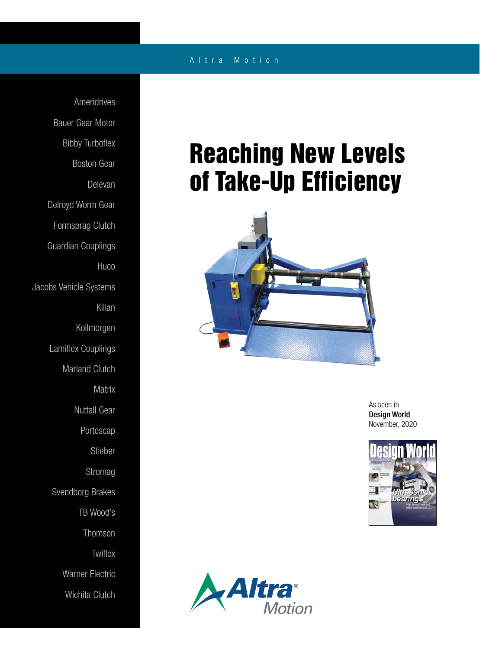## A l t r a M o t i o n

Ameridrives Bauer Gear Motor Bibby Turboflex Boston Gear Delevan Delroyd Worm Gear Formsprag Clutch Guardian Couplings **Huco** Jacobs Vehicle Systems Kilian Kollmorgen Lamiflex Couplings Marland Clutch **Matrix** Nuttall Gear Portescap Stieber Stromag Svendborg Brakes TB Wood's Thomson **Twiflex** Warner Electric Wichita Clutch

## Reaching New Levels of Take-Up Efficiency



As seen in Design World November, 2020



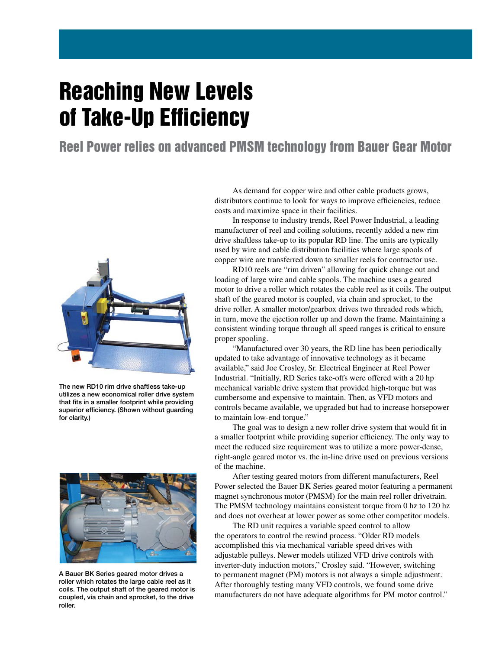## Reaching New Levels of Take-Up Efficiency

Reel Power relies on advanced PMSM technology from Bauer Gear Motor



The new RD10 rim drive shaftless take-up utilizes a new economical roller drive system that fits in a smaller footprint while providing superior efficiency. (Shown without guarding for clarity.)



A Bauer BK Series geared motor drives a roller which rotates the large cable reel as it coils. The output shaft of the geared motor is coupled, via chain and sprocket, to the drive roller.

As demand for copper wire and other cable products grows, distributors continue to look for ways to improve efficiencies, reduce costs and maximize space in their facilities.

In response to industry trends, Reel Power Industrial, a leading manufacturer of reel and coiling solutions, recently added a new rim drive shaftless take-up to its popular RD line. The units are typically used by wire and cable distribution facilities where large spools of copper wire are transferred down to smaller reels for contractor use.

RD10 reels are "rim driven" allowing for quick change out and loading of large wire and cable spools. The machine uses a geared motor to drive a roller which rotates the cable reel as it coils. The output shaft of the geared motor is coupled, via chain and sprocket, to the drive roller. A smaller motor/gearbox drives two threaded rods which, in turn, move the ejection roller up and down the frame. Maintaining a consistent winding torque through all speed ranges is critical to ensure proper spooling.

"Manufactured over 30 years, the RD line has been periodically updated to take advantage of innovative technology as it became available," said Joe Crosley, Sr. Electrical Engineer at Reel Power Industrial. "Initially, RD Series take-offs were offered with a 20 hp mechanical variable drive system that provided high-torque but was cumbersome and expensive to maintain. Then, as VFD motors and controls became available, we upgraded but had to increase horsepower to maintain low-end torque."

The goal was to design a new roller drive system that would fit in a smaller footprint while providing superior efficiency. The only way to meet the reduced size requirement was to utilize a more power-dense, right-angle geared motor vs. the in-line drive used on previous versions of the machine.

After testing geared motors from different manufacturers, Reel Power selected the Bauer BK Series geared motor featuring a permanent magnet synchronous motor (PMSM) for the main reel roller drivetrain. The PMSM technology maintains consistent torque from 0 hz to 120 hz and does not overheat at lower power as some other competitor models.

The RD unit requires a variable speed control to allow the operators to control the rewind process. "Older RD models accomplished this via mechanical variable speed drives with adjustable pulleys. Newer models utilized VFD drive controls with inverter-duty induction motors," Crosley said. "However, switching to permanent magnet (PM) motors is not always a simple adjustment. After thoroughly testing many VFD controls, we found some drive manufacturers do not have adequate algorithms for PM motor control."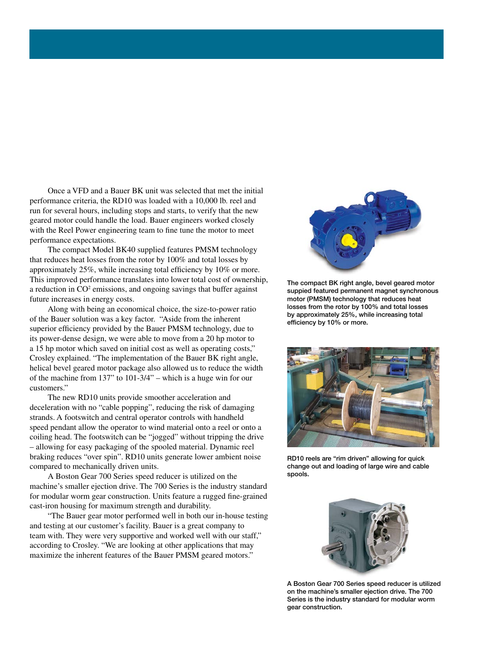Once a VFD and a Bauer BK unit was selected that met the initial performance criteria, the RD10 was loaded with a 10,000 lb. reel and run for several hours, including stops and starts, to verify that the new geared motor could handle the load. Bauer engineers worked closely with the Reel Power engineering team to fine tune the motor to meet performance expectations.

The compact Model BK40 supplied features PMSM technology that reduces heat losses from the rotor by 100% and total losses by approximately 25%, while increasing total efficiency by 10% or more. This improved performance translates into lower total cost of ownership, a reduction in  $CO<sup>2</sup>$  emissions, and ongoing savings that buffer against future increases in energy costs.

Along with being an economical choice, the size-to-power ratio of the Bauer solution was a key factor. "Aside from the inherent superior efficiency provided by the Bauer PMSM technology, due to its power-dense design, we were able to move from a 20 hp motor to a 15 hp motor which saved on initial cost as well as operating costs," Crosley explained. "The implementation of the Bauer BK right angle, helical bevel geared motor package also allowed us to reduce the width of the machine from 137" to 101-3/4" – which is a huge win for our customers."

The new RD10 units provide smoother acceleration and deceleration with no "cable popping", reducing the risk of damaging strands. A footswitch and central operator controls with handheld speed pendant allow the operator to wind material onto a reel or onto a coiling head. The footswitch can be "jogged" without tripping the drive – allowing for easy packaging of the spooled material. Dynamic reel braking reduces "over spin". RD10 units generate lower ambient noise compared to mechanically driven units.

A Boston Gear 700 Series speed reducer is utilized on the machine's smaller ejection drive. The 700 Series is the industry standard for modular worm gear construction. Units feature a rugged fine-grained cast-iron housing for maximum strength and durability.

"The Bauer gear motor performed well in both our in-house testing and testing at our customer's facility. Bauer is a great company to team with. They were very supportive and worked well with our staff," according to Crosley. "We are looking at other applications that may maximize the inherent features of the Bauer PMSM geared motors."



The compact BK right angle, bevel geared motor suppied featured permanent magnet synchronous motor (PMSM) technology that reduces heat losses from the rotor by 100% and total losses by approximately 25%, while increasing total efficiency by 10% or more.



RD10 reels are "rim driven" allowing for quick change out and loading of large wire and cable spools.



A Boston Gear 700 Series speed reducer is utilized on the machine's smaller ejection drive. The 700 Series is the industry standard for modular worm gear construction.